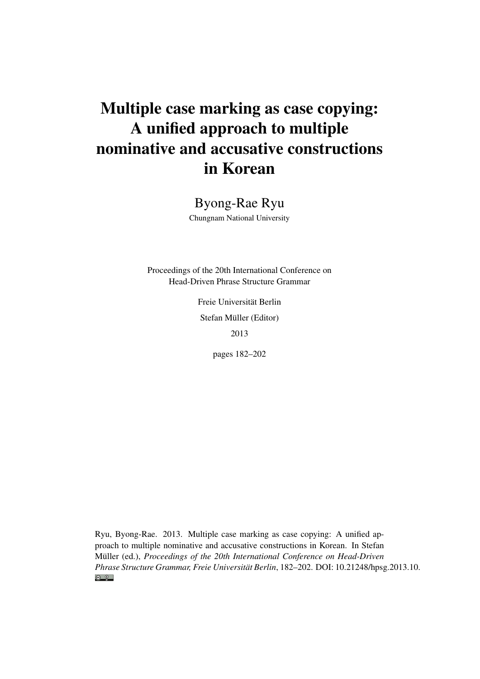# Multiple case marking as case copying: A unified approach to multiple nominative and accusative constructions in Korean

Byong-Rae Ryu

Chungnam National University

Proceedings of the 20th International Conference on Head-Driven Phrase Structure Grammar

> Freie Universität Berlin Stefan Müller (Editor) 2013

> > pages 182–202

Ryu, Byong-Rae. 2013. Multiple case marking as case copying: A unified approach to multiple nominative and accusative constructions in Korean. In Stefan Müller (ed.), *Proceedings of the 20th International Conference on Head-Driven Phrase Structure Grammar, Freie Universität Berlin*, 182–202. DOI: [10.21248/hpsg.2013.10.](http://doi.org/10.21248/hpsg.2013.10) $\odot$   $\odot$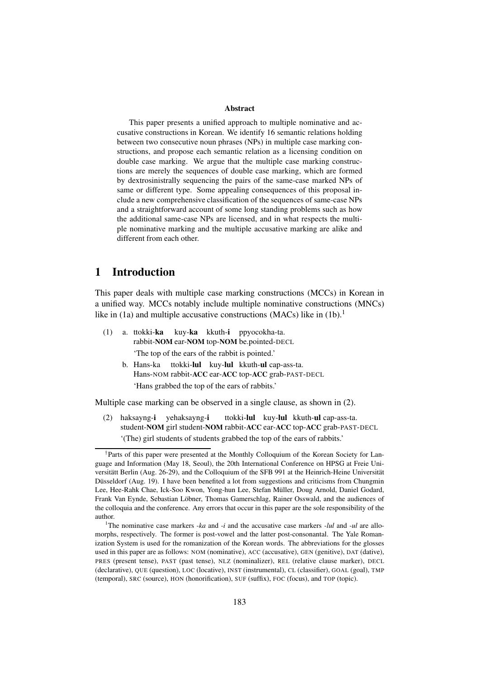#### Abstract

This paper presents a unified approach to multiple nominative and accusative constructions in Korean. We identify 16 semantic relations holding between two consecutive noun phrases (NPs) in multiple case marking constructions, and propose each semantic relation as a licensing condition on double case marking. We argue that the multiple case marking constructions are merely the sequences of double case marking, which are formed by dextrosinistrally sequencing the pairs of the same-case marked NPs of same or different type. Some appealing consequences of this proposal include a new comprehensive classification of the sequences of same-case NPs and a straightforward account of some long standing problems such as how the additional same-case NPs are licensed, and in what respects the multiple nominative marking and the multiple accusative marking are alike and different from each other.

# 1 Introduction

This paper deals with multiple case marking constructions (MCCs) in Korean in a unified way. MCCs notably include multiple nominative constructions (MNCs) like in  $(1a)$  and multiple accusative constructions  $(MACs)$  like in  $(1b)$ .<sup>1</sup>

| (1) |                                               |  |  | a. ttokki-ka kuy-ka kkuth-i ppyocokha-ta.          |  |  |  |
|-----|-----------------------------------------------|--|--|----------------------------------------------------|--|--|--|
|     |                                               |  |  | rabbit-NOM ear-NOM top-NOM be.pointed-DECL         |  |  |  |
|     | The top of the ears of the rabbit is pointed. |  |  |                                                    |  |  |  |
|     |                                               |  |  | b. Hans-ka ttokki-lul kuy-lul kkuth-ul cap-ass-ta. |  |  |  |

Hans-NOM rabbit-ACC ear-ACC top-ACC grab-PAST-DECL 'Hans grabbed the top of the ears of rabbits.'

Multiple case marking can be observed in a single clause, as shown in (2).

(2) haksayng-i yehaksayng-i student-NOM girl student-NOM rabbit-ACC ear-ACC top-ACC grab-PAST-DECL ttokki-lul kuy-lul kkuth-ul cap-ass-ta. '(The) girl students of students grabbed the top of the ears of rabbits.'

<sup>†</sup> Parts of this paper were presented at the Monthly Colloquium of the Korean Society for Language and Information (May 18, Seoul), the 20th International Conference on HPSG at Freie Universitätt Berlin (Aug. 26-29), and the Colloquium of the SFB 991 at the Heinrich-Heine Universität Düsseldorf (Aug. 19). I have been benefited a lot from suggestions and criticisms from Chungmin Lee, Hee-Rahk Chae, Ick-Soo Kwon, Yong-hun Lee, Stefan Müller, Doug Arnold, Daniel Godard, Frank Van Eynde, Sebastian Löbner, Thomas Gamerschlag, Rainer Osswald, and the audiences of the colloquia and the conference. Any errors that occur in this paper are the sole responsibility of the author.

<sup>1</sup>The nominative case markers *-ka* and *-i* and the accusative case markers *-lul* and *-ul* are allomorphs, respectively. The former is post-vowel and the latter post-consonantal. The Yale Romanization System is used for the romanization of the Korean words. The abbreviations for the glosses used in this paper are as follows: NOM (nominative), ACC (accusative), GEN (genitive), DAT (dative), PRES (present tense), PAST (past tense), NLZ (nominalizer), REL (relative clause marker), DECL (declarative), QUE (question), LOC (locative), INST (instrumental), CL (classifier), GOAL (goal), TMP (temporal), SRC (source), HON (honorification), SUF (suffix), FOC (focus), and TOP (topic).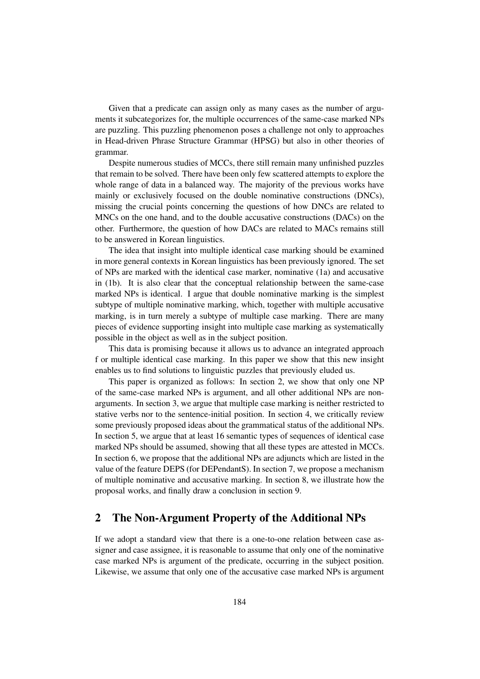Given that a predicate can assign only as many cases as the number of arguments it subcategorizes for, the multiple occurrences of the same-case marked NPs are puzzling. This puzzling phenomenon poses a challenge not only to approaches in Head-driven Phrase Structure Grammar (HPSG) but also in other theories of grammar.

Despite numerous studies of MCCs, there still remain many unfinished puzzles that remain to be solved. There have been only few scattered attempts to explore the whole range of data in a balanced way. The majority of the previous works have mainly or exclusively focused on the double nominative constructions (DNCs), missing the crucial points concerning the questions of how DNCs are related to MNCs on the one hand, and to the double accusative constructions (DACs) on the other. Furthermore, the question of how DACs are related to MACs remains still to be answered in Korean linguistics.

The idea that insight into multiple identical case marking should be examined in more general contexts in Korean linguistics has been previously ignored. The set of NPs are marked with the identical case marker, nominative (1a) and accusative in (1b). It is also clear that the conceptual relationship between the same-case marked NPs is identical. I argue that double nominative marking is the simplest subtype of multiple nominative marking, which, together with multiple accusative marking, is in turn merely a subtype of multiple case marking. There are many pieces of evidence supporting insight into multiple case marking as systematically possible in the object as well as in the subject position.

This data is promising because it allows us to advance an integrated approach f or multiple identical case marking. In this paper we show that this new insight enables us to find solutions to linguistic puzzles that previously eluded us.

This paper is organized as follows: In section 2, we show that only one NP of the same-case marked NPs is argument, and all other additional NPs are nonarguments. In section 3, we argue that multiple case marking is neither restricted to stative verbs nor to the sentence-initial position. In section 4, we critically review some previously proposed ideas about the grammatical status of the additional NPs. In section 5, we argue that at least 16 semantic types of sequences of identical case marked NPs should be assumed, showing that all these types are attested in MCCs. In section 6, we propose that the additional NPs are adjuncts which are listed in the value of the feature DEPS (for DEPendantS). In section 7, we propose a mechanism of multiple nominative and accusative marking. In section 8, we illustrate how the proposal works, and finally draw a conclusion in section 9.

## 2 The Non-Argument Property of the Additional NPs

If we adopt a standard view that there is a one-to-one relation between case assigner and case assignee, it is reasonable to assume that only one of the nominative case marked NPs is argument of the predicate, occurring in the subject position. Likewise, we assume that only one of the accusative case marked NPs is argument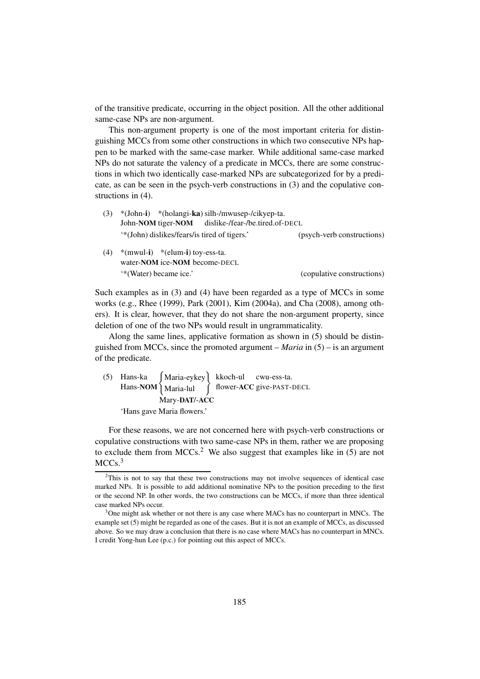of the transitive predicate, occurring in the object position. All the other additional same-case NPs are non-argument.

This non-argument property is one of the most important criteria for distinguishing MCCs from some other constructions in which two consecutive NPs happen to be marked with the same-case marker. While additional same-case marked NPs do not saturate the valency of a predicate in MCCs, there are some constructions in which two identically case-marked NPs are subcategorized for by a predicate, as can be seen in the psych-verb constructions in (3) and the copulative constructions in (4).

- (3) \*(John-i) \*(holangi-ka) silh-/mwusep-/cikyep-ta. John-NOM tiger-NOM dislike-/fear-/be.tired.of-DECL '\*(John) dislikes/fears/is tired of tigers.' (psych-verb constructions)
- $(4)$  \*(mwul-i) \*(elum-i) toy-ess-ta. water-NOM ice-NOM become-DECL '\*(Water) became ice.' (copulative constructions)

Such examples as in (3) and (4) have been regarded as a type of MCCs in some works (e.g., Rhee (1999), Park (2001), Kim (2004a), and Cha (2008), among others). It is clear, however, that they do not share the non-argument property, since deletion of one of the two NPs would result in ungrammaticality.

Along the same lines, applicative formation as shown in (5) should be distinguished from MCCs, since the promoted argument – *Maria* in (5) – is an argument of the predicate.

(5) Hans-ka Hans-ka (Maria-eykey) kkoch-ul<br>Hans-NOM Maria-lul flower-A Mary-DAT/-ACC flower-ACC cwu-ess-ta. give-PAST-DECL 'Hans gave Maria flowers.'

For these reasons, we are not concerned here with psych-verb constructions or copulative constructions with two same-case NPs in them, rather we are proposing to exclude them from MCCs.<sup>2</sup> We also suggest that examples like in  $(5)$  are not MCC<sub>s.</sub>3

 $2$ This is not to say that these two constructions may not involve sequences of identical case marked NPs. It is possible to add additional nominative NPs to the position preceding to the first or the second NP. In other words, the two constructions can be MCCs, if more than three identical case marked NPs occur.

 $3$ One might ask whether or not there is any case where MACs has no counterpart in MNCs. The example set (5) might be regarded as one of the cases. But it is not an example of MCCs, as discussed above. So we may draw a conclusion that there is no case where MACs has no counterpart in MNCs. I credit Yong-hun Lee (p.c.) for pointing out this aspect of MCCs.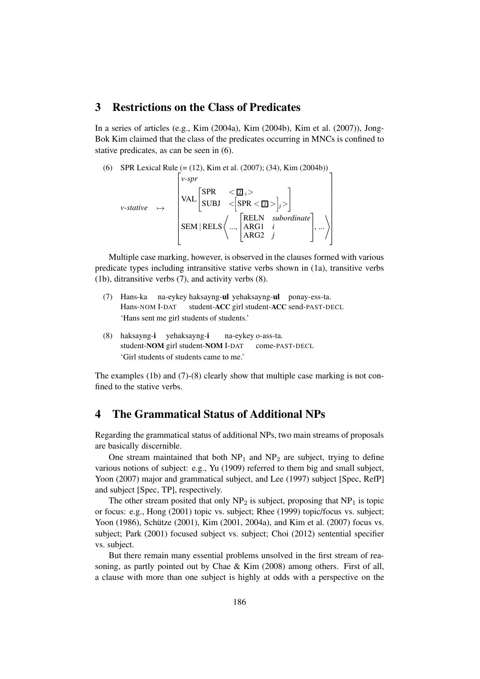## 3 Restrictions on the Class of Predicates

In a series of articles (e.g., Kim (2004a), Kim (2004b), Kim et al. (2007)), Jong-Bok Kim claimed that the class of the predicates occurring in MNCs is confined to stative predicates, as can be seen in (6).

(6) SPR Lexical Rule (= (12), Kim et al. (2007); (34), Kim (2004b))  
\n
$$
v\text{-}static \rightarrow \text{VAL}\left[\text{SPR} < \boxed{2} i \right] \times \left[\text{SPR} < \boxed{2} \right] j \right]
$$
\n
$$
\text{SEM} | \text{RELS} \left(\text{...}, \text{RELN} \text{ subordinate} \right], \dots \right)
$$

Multiple case marking, however, is observed in the clauses formed with various predicate types including intransitive stative verbs shown in (1a), transitive verbs (1b), ditransitive verbs (7), and activity verbs (8).

- (7) Hans-ka na-eykey haksayng-ul yehaksayng-ul ponay-ess-ta. Hans-NOM I-DAT student-ACC girl student-ACC send-PAST-DECL 'Hans sent me girl students of students.'
- (8) haksayng-i yehaksayng-i student-NOM girl student-NOM I-DAT na-eykey o-ass-ta. come-PAST-DECL 'Girl students of students came to me.'

The examples (1b) and (7)-(8) clearly show that multiple case marking is not confined to the stative verbs.

# 4 The Grammatical Status of Additional NPs

Regarding the grammatical status of additional NPs, two main streams of proposals are basically discernible.

One stream maintained that both  $NP<sub>1</sub>$  and  $NP<sub>2</sub>$  are subject, trying to define various notions of subject: e.g., Yu (1909) referred to them big and small subject, Yoon (2007) major and grammatical subject, and Lee (1997) subject [Spec, RefP] and subject [Spec, TP], respectively.

The other stream posited that only  $NP_2$  is subject, proposing that  $NP_1$  is topic or focus: e.g., Hong (2001) topic vs. subject; Rhee (1999) topic/focus vs. subject; Yoon (1986), Schütze (2001), Kim (2001, 2004a), and Kim et al. (2007) focus vs. subject; Park (2001) focused subject vs. subject; Choi (2012) sentential specifier vs. subject.

But there remain many essential problems unsolved in the first stream of reasoning, as partly pointed out by Chae & Kim (2008) among others. First of all, a clause with more than one subject is highly at odds with a perspective on the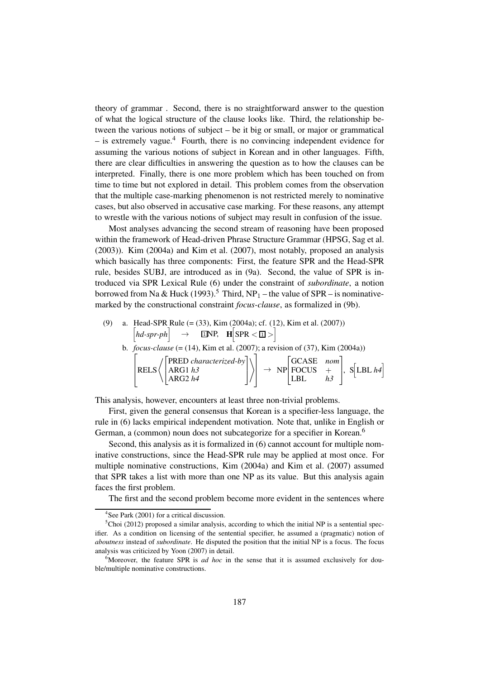theory of grammar . Second, there is no straightforward answer to the question of what the logical structure of the clause looks like. Third, the relationship between the various notions of subject – be it big or small, or major or grammatical  $-$  is extremely vague.<sup>4</sup> Fourth, there is no convincing independent evidence for assuming the various notions of subject in Korean and in other languages. Fifth, there are clear difficulties in answering the question as to how the clauses can be interpreted. Finally, there is one more problem which has been touched on from time to time but not explored in detail. This problem comes from the observation that the multiple case-marking phenomenon is not restricted merely to nominative cases, but also observed in accusative case marking. For these reasons, any attempt to wrestle with the various notions of subject may result in confusion of the issue.

Most analyses advancing the second stream of reasoning have been proposed within the framework of Head-driven Phrase Structure Grammar (HPSG, Sag et al. (2003)). Kim (2004a) and Kim et al. (2007), most notably, proposed an analysis which basically has three components: First, the feature SPR and the Head-SPR rule, besides SUBJ, are introduced as in (9a). Second, the value of SPR is introduced via SPR Lexical Rule (6) under the constraint of *subordinate*, a notion borrowed from Na & Huck (1993).<sup>5</sup> Third,  $NP_1$  – the value of SPR – is nominativemarked by the constructional constraint *focus-clause*, as formalized in (9b).

(9) a. Head-SPR Rule (= (33), Kim (2004a); cf. (12), Kim et al. (2007))  
\n
$$
\begin{bmatrix} hd-spr-ph \\ h \end{bmatrix} \rightarrow \begin{bmatrix} \text{INP,} & \textbf{H} \end{bmatrix} \text{SPR} < \square
$$
\nb. focus-clause (= (14), Kim et al. (2007); a revision of (37), Kim (2004a))  
\n
$$
\begin{bmatrix} \text{RELS} < \begin{bmatrix} \text{PRED } characterized-by \\ \text{ARG1 } h3 \end{bmatrix} \end{bmatrix} \rightarrow \text{NP} \begin{bmatrix} \text{GCASE} & nom \\ \text{FOCUS} & + \\ \text{LBL} & h3 \end{bmatrix}, \text{S} \begin{bmatrix} \text{LEL } h4 \end{bmatrix}
$$

This analysis, however, encounters at least three non-trivial problems.

First, given the general consensus that Korean is a specifier-less language, the rule in (6) lacks empirical independent motivation. Note that, unlike in English or German, a (common) noun does not subcategorize for a specifier in Korean.<sup>6</sup>

Second, this analysis as it is formalized in (6) cannot account for multiple nominative constructions, since the Head-SPR rule may be applied at most once. For multiple nominative constructions, Kim (2004a) and Kim et al. (2007) assumed that SPR takes a list with more than one NP as its value. But this analysis again faces the first problem.

The first and the second problem become more evident in the sentences where

<sup>&</sup>lt;sup>4</sup>See Park (2001) for a critical discussion.

 ${}^{5}$ Choi (2012) proposed a similar analysis, according to which the initial NP is a sentential specifier. As a condition on licensing of the sentential specifier, he assumed a (pragmatic) notion of *aboutness* instead of *subordinate*. He disputed the position that the initial NP is a focus. The focus analysis was criticized by Yoon (2007) in detail.

 $6$ Moreover, the feature SPR is *ad hoc* in the sense that it is assumed exclusively for double/multiple nominative constructions.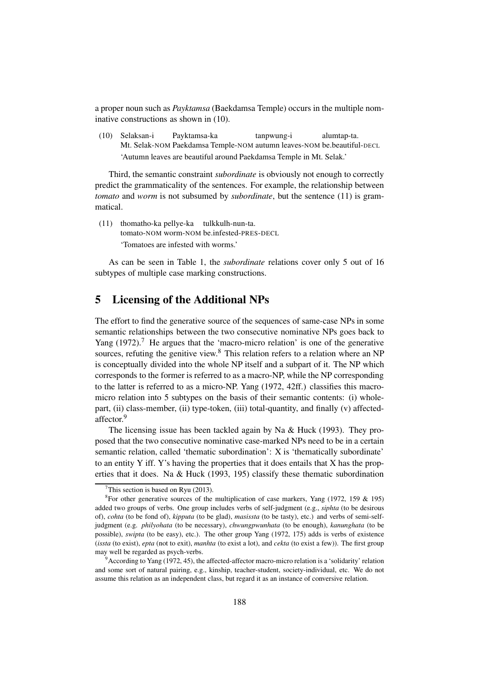a proper noun such as *Payktamsa* (Baekdamsa Temple) occurs in the multiple nominative constructions as shown in (10).

(10) Selaksan-i Mt. Selak-NOM Paekdamsa Temple-NOM autumn leaves-NOM be.beautiful-DECL Payktamsa-ka tanpwung-i alumtap-ta. 'Autumn leaves are beautiful around Paekdamsa Temple in Mt. Selak.'

Third, the semantic constraint *subordinate* is obviously not enough to correctly predict the grammaticality of the sentences. For example, the relationship between *tomato* and *worm* is not subsumed by *subordinate*, but the sentence (11) is grammatical.

(11) thomatho-ka pellye-ka tulkkulh-nun-ta. tomato-NOM worm-NOM be.infested-PRES-DECL 'Tomatoes are infested with worms.'

As can be seen in Table 1, the *subordinate* relations cover only 5 out of 16 subtypes of multiple case marking constructions.

# 5 Licensing of the Additional NPs

The effort to find the generative source of the sequences of same-case NPs in some semantic relationships between the two consecutive nominative NPs goes back to Yang  $(1972)$ .<sup>7</sup> He argues that the 'macro-micro relation' is one of the generative sources, refuting the genitive view. $8$  This relation refers to a relation where an NP is conceptually divided into the whole NP itself and a subpart of it. The NP which corresponds to the former is referred to as a macro-NP, while the NP corresponding to the latter is referred to as a micro-NP. Yang (1972, 42ff.) classifies this macromicro relation into 5 subtypes on the basis of their semantic contents: (i) wholepart, (ii) class-member, (ii) type-token, (iii) total-quantity, and finally (v) affectedaffector.<sup>9</sup>

The licensing issue has been tackled again by Na & Huck (1993). They proposed that the two consecutive nominative case-marked NPs need to be in a certain semantic relation, called 'thematic subordination': X is 'thematically subordinate' to an entity Y iff. Y's having the properties that it does entails that X has the properties that it does. Na & Huck (1993, 195) classify these thematic subordination

 $7$ This section is based on Ryu (2013).

<sup>&</sup>lt;sup>8</sup>For other generative sources of the multiplication of case markers, Yang (1972, 159 & 195) added two groups of verbs. One group includes verbs of self-judgment (e.g., *siphta* (to be desirous of), *cohta* (to be fond of), *kipputa* (to be glad), *masissta* (to be tasty), etc.) and verbs of semi-selfjudgment (e.g. *philyohata* (to be necessary), *chwungpwunhata* (to be enough), *kanunghata* (to be possible), *swipta* (to be easy), etc.). The other group Yang (1972, 175) adds is verbs of existence (*issta* (to exist), *epta* (not to exit), *manhta* (to exist a lot), and *cekta* (to exist a few)). The first group may well be regarded as psych-verbs.

 $9$ According to Yang (1972, 45), the affected-affector macro-micro relation is a 'solidarity' relation and some sort of natural pairing, e.g., kinship, teacher-student, society-individual, etc. We do not assume this relation as an independent class, but regard it as an instance of conversive relation.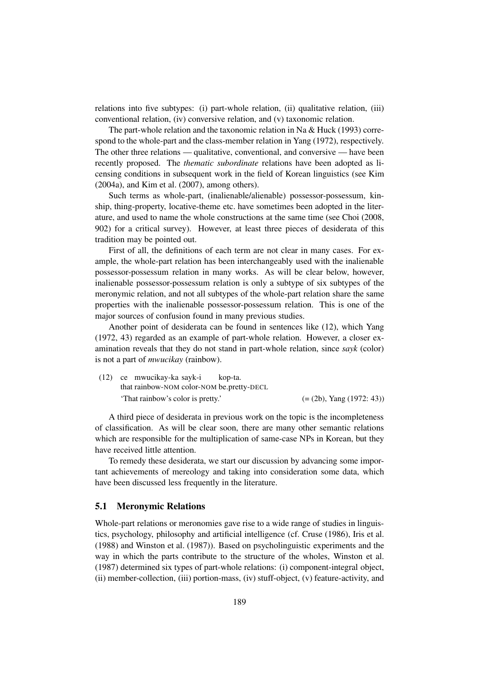relations into five subtypes: (i) part-whole relation, (ii) qualitative relation, (iii) conventional relation, (iv) conversive relation, and (v) taxonomic relation.

The part-whole relation and the taxonomic relation in Na & Huck (1993) correspond to the whole-part and the class-member relation in Yang (1972), respectively. The other three relations — qualitative, conventional, and conversive — have been recently proposed. The *thematic subordinate* relations have been adopted as licensing conditions in subsequent work in the field of Korean linguistics (see Kim (2004a), and Kim et al. (2007), among others).

Such terms as whole-part, (inalienable/alienable) possessor-possessum, kinship, thing-property, locative-theme etc. have sometimes been adopted in the literature, and used to name the whole constructions at the same time (see Choi (2008, 902) for a critical survey). However, at least three pieces of desiderata of this tradition may be pointed out.

First of all, the definitions of each term are not clear in many cases. For example, the whole-part relation has been interchangeably used with the inalienable possessor-possessum relation in many works. As will be clear below, however, inalienable possessor-possessum relation is only a subtype of six subtypes of the meronymic relation, and not all subtypes of the whole-part relation share the same properties with the inalienable possessor-possessum relation. This is one of the major sources of confusion found in many previous studies.

Another point of desiderata can be found in sentences like (12), which Yang (1972, 43) regarded as an example of part-whole relation. However, a closer examination reveals that they do not stand in part-whole relation, since *sayk* (color) is not a part of *mwucikay* (rainbow).

| (12) ce mwucikay-ka sayk-i                | kop-ta. |                             |
|-------------------------------------------|---------|-----------------------------|
| that rainbow-NOM color-NOM be.pretty-DECL |         |                             |
| 'That rainbow's color is pretty.'         |         | $(=(2b),$ Yang $(1972: 43)$ |

A third piece of desiderata in previous work on the topic is the incompleteness of classification. As will be clear soon, there are many other semantic relations which are responsible for the multiplication of same-case NPs in Korean, but they have received little attention.

To remedy these desiderata, we start our discussion by advancing some important achievements of mereology and taking into consideration some data, which have been discussed less frequently in the literature.

#### 5.1 Meronymic Relations

Whole-part relations or meronomies gave rise to a wide range of studies in linguistics, psychology, philosophy and artificial intelligence (cf. Cruse (1986), Iris et al. (1988) and Winston et al. (1987)). Based on psycholinguistic experiments and the way in which the parts contribute to the structure of the wholes, Winston et al. (1987) determined six types of part-whole relations: (i) component-integral object, (ii) member-collection, (iii) portion-mass, (iv) stuff-object, (v) feature-activity, and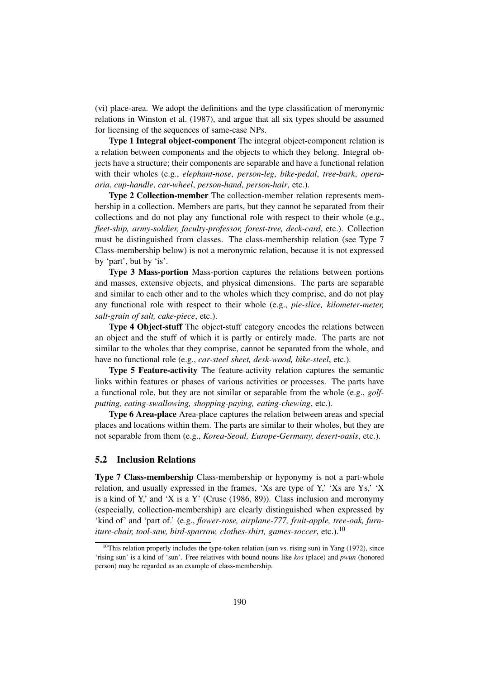(vi) place-area. We adopt the definitions and the type classification of meronymic relations in Winston et al. (1987), and argue that all six types should be assumed for licensing of the sequences of same-case NPs.

Type 1 Integral object-component The integral object-component relation is a relation between components and the objects to which they belong. Integral objects have a structure; their components are separable and have a functional relation with their wholes (e.g., *elephant*-*nose*, *person*-*leg*, *bike*-*pedal*, *tree*-*bark*, *operaaria*, *cup*-*handle*, *car*-*wheel*, *person*-*hand*, *person*-*hair*, etc.).

Type 2 Collection-member The collection-member relation represents membership in a collection. Members are parts, but they cannot be separated from their collections and do not play any functional role with respect to their whole (e.g., *fleet-ship, army-soldier, faculty-professor, forest-tree, deck-card*, etc.). Collection must be distinguished from classes. The class-membership relation (see Type 7 Class-membership below) is not a meronymic relation, because it is not expressed by 'part', but by 'is'.

Type 3 Mass-portion Mass-portion captures the relations between portions and masses, extensive objects, and physical dimensions. The parts are separable and similar to each other and to the wholes which they comprise, and do not play any functional role with respect to their whole (e.g., *pie-slice, kilometer-meter, salt-grain of salt, cake-piece*, etc.).

Type 4 Object-stuff The object-stuff category encodes the relations between an object and the stuff of which it is partly or entirely made. The parts are not similar to the wholes that they comprise, cannot be separated from the whole, and have no functional role (e.g., *car-steel sheet, desk-wood, bike-steel*, etc.).

Type 5 Feature-activity The feature-activity relation captures the semantic links within features or phases of various activities or processes. The parts have a functional role, but they are not similar or separable from the whole (e.g., *golfputting, eating-swallowing, shopping-paying, eating-chewing*, etc.).

Type 6 Area-place Area-place captures the relation between areas and special places and locations within them. The parts are similar to their wholes, but they are not separable from them (e.g., *Korea-Seoul, Europe-Germany, desert-oasis*, etc.).

#### 5.2 Inclusion Relations

Type 7 Class-membership Class-membership or hyponymy is not a part-whole relation, and usually expressed in the frames, 'Xs are type of Y,' 'Xs are Ys,' 'X is a kind of Y,' and 'X is a Y' (Cruse  $(1986, 89)$ ). Class inclusion and meronymy (especially, collection-membership) are clearly distinguished when expressed by 'kind of' and 'part of.' (e.g., *flower-rose, airplane-777, fruit-apple, tree-oak, furniture-chair, tool-saw, bird-sparrow, clothes-shirt, games-soccer*, etc.).<sup>10</sup>

 $10$ This relation properly includes the type-token relation (sun vs. rising sun) in Yang (1972), since 'rising sun' is a kind of 'sun'. Free relatives with bound nouns like *kos* (place) and *pwun* (honored person) may be regarded as an example of class-membership.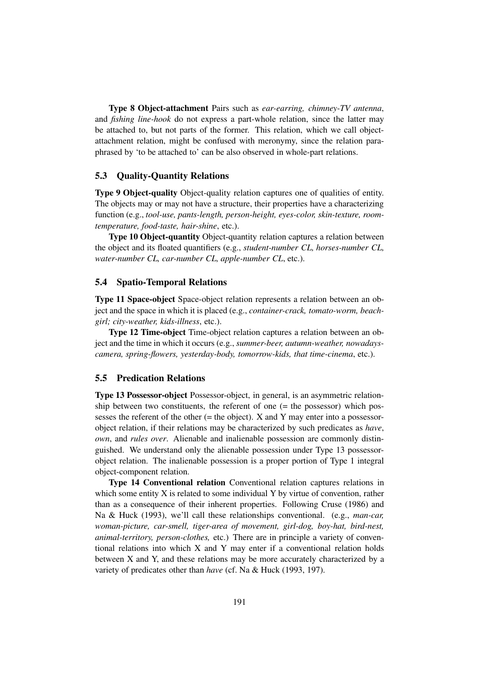Type 8 Object-attachment Pairs such as *ear-earring, chimney-TV antenna*, and *fishing line-hook* do not express a part-whole relation, since the latter may be attached to, but not parts of the former. This relation, which we call objectattachment relation, might be confused with meronymy, since the relation paraphrased by 'to be attached to' can be also observed in whole-part relations.

#### 5.3 Quality-Quantity Relations

Type 9 Object-quality Object-quality relation captures one of qualities of entity. The objects may or may not have a structure, their properties have a characterizing function (e.g., *tool-use, pants-length, person-height, eyes-color, skin-texture, roomtemperature, food-taste, hair-shine*, etc.).

Type 10 Object-quantity Object-quantity relation captures a relation between the object and its floated quantifiers (e.g., *student-number CL, horses-number CL, water-number CL, car-number CL, apple-number CL*, etc.).

#### 5.4 Spatio-Temporal Relations

Type 11 Space-object Space-object relation represents a relation between an object and the space in which it is placed (e.g., *container-crack, tomato-worm, beachgirl; city-weather, kids-illness*, etc.).

Type 12 Time-object Time-object relation captures a relation between an object and the time in which it occurs (e.g., *summer-beer, autumn-weather, nowadayscamera, spring-flowers, yesterday-body, tomorrow-kids, that time-cinema*, etc.).

#### 5.5 Predication Relations

Type 13 Possessor-object Possessor-object, in general, is an asymmetric relationship between two constituents, the referent of one (= the possessor) which possesses the referent of the other  $(=$  the object). X and Y may enter into a possessorobject relation, if their relations may be characterized by such predicates as *have*, *own*, and *rules over*. Alienable and inalienable possession are commonly distinguished. We understand only the alienable possession under Type 13 possessorobject relation. The inalienable possession is a proper portion of Type 1 integral object-component relation.

Type 14 Conventional relation Conventional relation captures relations in which some entity X is related to some individual Y by virtue of convention, rather than as a consequence of their inherent properties. Following Cruse (1986) and Na & Huck (1993), we'll call these relationships conventional. (e.g., *man-car, woman-picture, car-smell, tiger-area of movement, girl-dog, boy-hat, bird-nest, animal-territory, person-clothes,* etc.) There are in principle a variety of conventional relations into which X and Y may enter if a conventional relation holds between X and Y, and these relations may be more accurately characterized by a variety of predicates other than *have* (cf. Na & Huck (1993, 197).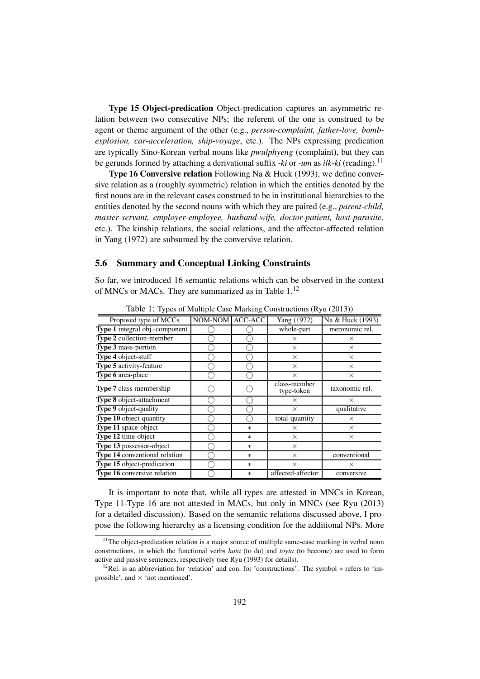Type 15 Object-predication Object-predication captures an asymmetric relation between two consecutive NPs; the referent of the one is construed to be agent or theme argument of the other (e.g., *person-complaint, father-love, bombexplosion, car-acceleration, ship-voyage*, etc.). The NPs expressing predication are typically Sino-Korean verbal nouns like *pwulphyeng* (complaint), but they can be gerunds formed by attaching a derivational suffix *-ki* or *-um* as *ilk-ki* (reading).<sup>11</sup>

Type 16 Conversive relation Following Na & Huck (1993), we define conversive relation as a (roughly symmetric) relation in which the entities denoted by the first nouns are in the relevant cases construed to be in institutional hierarchies to the entities denoted by the second nouns with which they are paired (e.g., *parent-child, master-servant, employer-employee, husband-wife, doctor-patient, host-parasite,* etc.). The kinship relations, the social relations, and the affector-affected relation in Yang (1972) are subsumed by the conversive relation.

### 5.6 Summary and Conceptual Linking Constraints

So far, we introduced 16 semantic relations which can be observed in the context of MNCs or MACs. They are summarized as in Table 1.<sup>12</sup>

| Proposed type of MCCs          | NOM-NOM ACC-ACC |        | Yang (1972)                | Na & Huck (1993) |  |  |  |
|--------------------------------|-----------------|--------|----------------------------|------------------|--|--|--|
| Type 1 integral obj.-component |                 |        | whole-part                 | meronomic rel.   |  |  |  |
| Type 2 collection-member       |                 |        | $\times$                   | $\times$         |  |  |  |
| Type 3 mass-portion            |                 |        | $\times$                   | $\times$         |  |  |  |
| Type 4 object-stuff            |                 |        | $\times$                   | $\times$         |  |  |  |
| <b>Type 5</b> activity-feature |                 |        | $\times$                   | $\times$         |  |  |  |
| Type 6 area-place              |                 |        | $\times$                   | $\times$         |  |  |  |
| Type 7 class-membership        |                 |        | class-member<br>type-token | taxonomic rel.   |  |  |  |
| Type 8 object-attachment       |                 |        | $\times$                   | X                |  |  |  |
| <b>Type 9</b> object-quality   |                 |        | $\times$                   | qualitative      |  |  |  |
| Type 10 object-quantity        |                 |        | total-quantity             | X                |  |  |  |
| Type 11 space-object           |                 | $\ast$ | $\times$                   | $\times$         |  |  |  |
| Type 12 time-object            |                 | $\ast$ | $\times$                   | $\times$         |  |  |  |
| Type 13 possessor-object       |                 | $\ast$ | $\times$                   |                  |  |  |  |
| Type 14 conventional relation  |                 | $\ast$ | $\times$                   | conventional     |  |  |  |
| Type 15 object-predication     |                 | $\ast$ | $\times$                   | $\times$         |  |  |  |
| Type 16 conversive relation    |                 | $\ast$ | affected-affector          | conversive       |  |  |  |

Table 1: Types of Multiple Case Marking Constructions (Ryu (2013))

It is important to note that, while all types are attested in MNCs in Korean, Type 11-Type 16 are not attested in MACs, but only in MNCs (see Ryu (2013) for a detailed discussion). Based on the semantic relations discussed above, I propose the following hierarchy as a licensing condition for the additional NPs. More

 $11$ The object-predication relation is a major source of multiple same-case marking in verbal noun constructions, in which the functional verbs *hata* (to do) and *toyta* (to become) are used to form active and passive sentences, respectively (see Ryu (1993) for details).

<sup>12</sup>Rel. is an abbreviation for 'relation' and con. for 'constructions'. The symbol <sup>∗</sup> refers to 'impossible', and  $\times$  'not mentioned'.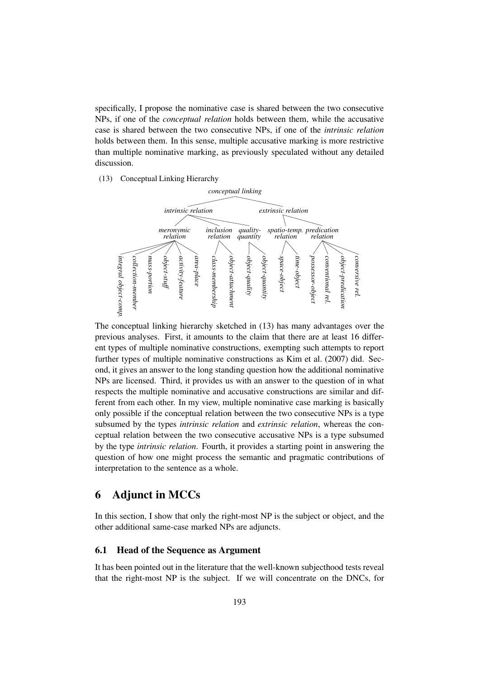specifically, I propose the nominative case is shared between the two consecutive NPs, if one of the *conceptual relation* holds between them, while the accusative case is shared between the two consecutive NPs, if one of the *intrinsic relation* holds between them. In this sense, multiple accusative marking is more restrictive than multiple nominative marking, as previously speculated without any detailed discussion.

(13) Conceptual Linking Hierarchy



The conceptual linking hierarchy sketched in (13) has many advantages over the previous analyses. First, it amounts to the claim that there are at least 16 different types of multiple nominative constructions, exempting such attempts to report further types of multiple nominative constructions as Kim et al. (2007) did. Second, it gives an answer to the long standing question how the additional nominative NPs are licensed. Third, it provides us with an answer to the question of in what respects the multiple nominative and accusative constructions are similar and different from each other. In my view, multiple nominative case marking is basically only possible if the conceptual relation between the two consecutive NPs is a type subsumed by the types *intrinsic relation* and *extrinsic relation*, whereas the conceptual relation between the two consecutive accusative NPs is a type subsumed by the type *intrinsic relation*. Fourth, it provides a starting point in answering the question of how one might process the semantic and pragmatic contributions of interpretation to the sentence as a whole.

# 6 Adjunct in MCCs

In this section, I show that only the right-most NP is the subject or object, and the other additional same-case marked NPs are adjuncts.

#### 6.1 Head of the Sequence as Argument

It has been pointed out in the literature that the well-known subjecthood tests reveal that the right-most NP is the subject. If we will concentrate on the DNCs, for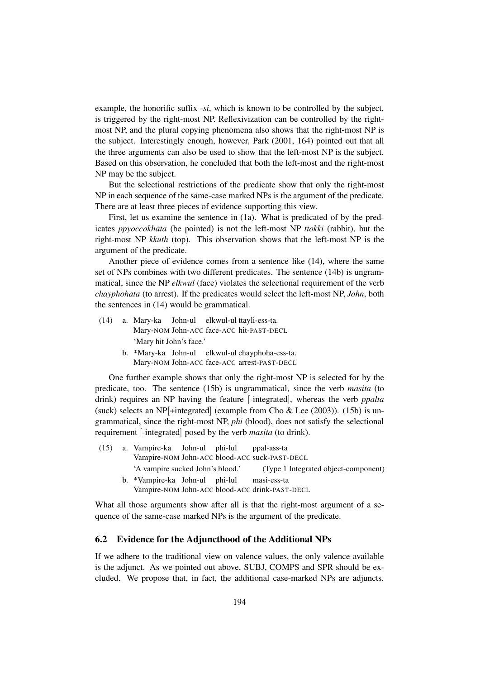example, the honorific suffix -*si*, which is known to be controlled by the subject, is triggered by the right-most NP. Reflexivization can be controlled by the rightmost NP, and the plural copying phenomena also shows that the right-most NP is the subject. Interestingly enough, however, Park (2001, 164) pointed out that all the three arguments can also be used to show that the left-most NP is the subject. Based on this observation, he concluded that both the left-most and the right-most NP may be the subject.

But the selectional restrictions of the predicate show that only the right-most NP in each sequence of the same-case marked NPs is the argument of the predicate. There are at least three pieces of evidence supporting this view.

First, let us examine the sentence in (1a). What is predicated of by the predicates *ppyoccokhata* (be pointed) is not the left-most NP *ttokki* (rabbit), but the right-most NP *kkuth* (top). This observation shows that the left-most NP is the argument of the predicate.

Another piece of evidence comes from a sentence like (14), where the same set of NPs combines with two different predicates. The sentence (14b) is ungrammatical, since the NP *elkwul* (face) violates the selectional requirement of the verb *chayphohata* (to arrest). If the predicates would select the left-most NP, *John*, both the sentences in (14) would be grammatical.

- (14) a. Mary-ka John-ul elkwul-ul ttayli-ess-ta. Mary-NOM John-ACC face-ACC hit-PAST-DECL 'Mary hit John's face.'
	- b. \*Mary-ka John-ul elkwul-ul chayphoha-ess-ta. Mary-NOM John-ACC face-ACC arrest-PAST-DECL

One further example shows that only the right-most NP is selected for by the predicate, too. The sentence (15b) is ungrammatical, since the verb *masita* (to drink) requires an NP having the feature [-integrated], whereas the verb *ppalta* (suck) selects an NP[+integrated] (example from Cho & Lee  $(2003)$ ). (15b) is ungrammatical, since the right-most NP, *phi* (blood), does not satisfy the selectional requirement [-integrated] posed by the verb *masita* (to drink).

| (15) | a. Vampire-ka John-ul phi-lul  |                                  |  | ppal-ass-ta                                   |
|------|--------------------------------|----------------------------------|--|-----------------------------------------------|
|      |                                |                                  |  | Vampire-NOM John-ACC blood-ACC suck-PAST-DECL |
|      |                                | 'A vampire sucked John's blood.' |  | (Type 1 Integrated object-component)          |
|      | b. *Vampire-ka John-ul phi-lul |                                  |  | masi-ess-ta                                   |

Vampire-NOM John-ACC blood-ACC drink-PAST-DECL

What all those arguments show after all is that the right-most argument of a sequence of the same-case marked NPs is the argument of the predicate.

#### 6.2 Evidence for the Adjuncthood of the Additional NPs

If we adhere to the traditional view on valence values, the only valence available is the adjunct. As we pointed out above, SUBJ, COMPS and SPR should be excluded. We propose that, in fact, the additional case-marked NPs are adjuncts.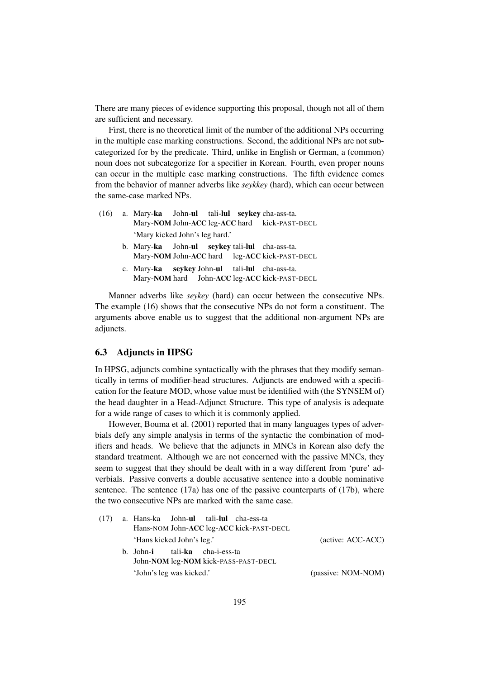There are many pieces of evidence supporting this proposal, though not all of them are sufficient and necessary.

First, there is no theoretical limit of the number of the additional NPs occurring in the multiple case marking constructions. Second, the additional NPs are not subcategorized for by the predicate. Third, unlike in English or German, a (common) noun does not subcategorize for a specifier in Korean. Fourth, even proper nouns can occur in the multiple case marking constructions. The fifth evidence comes from the behavior of manner adverbs like *seykkey* (hard), which can occur between the same-case marked NPs.

- (16) a. Mary-ka Mary-NOM John-ACC leg-ACC hard kick-PAST-DECL John-ul tali-lul seykey cha-ass-ta. 'Mary kicked John's leg hard.'
	- b. Mary-ka Mary-NOM John-ACC hard leg-ACC kick-PAST-DECL John-ul seykey tali-lul cha-ass-ta.
	- c. Mary-ka Mary-NOM hard John-ACC leg-ACC kick-PAST-DECL seykey John-ul tali-lul cha-ass-ta.

Manner adverbs like *seykey* (hard) can occur between the consecutive NPs. The example (16) shows that the consecutive NPs do not form a constituent. The arguments above enable us to suggest that the additional non-argument NPs are adjuncts.

## 6.3 Adjuncts in HPSG

In HPSG, adjuncts combine syntactically with the phrases that they modify semantically in terms of modifier-head structures. Adjuncts are endowed with a specification for the feature MOD, whose value must be identified with (the SYNSEM of) the head daughter in a Head-Adjunct Structure. This type of analysis is adequate for a wide range of cases to which it is commonly applied.

However, Bouma et al. (2001) reported that in many languages types of adverbials defy any simple analysis in terms of the syntactic the combination of modifiers and heads. We believe that the adjuncts in MNCs in Korean also defy the standard treatment. Although we are not concerned with the passive MNCs, they seem to suggest that they should be dealt with in a way different from 'pure' adverbials. Passive converts a double accusative sentence into a double nominative sentence. The sentence  $(17a)$  has one of the passive counterparts of  $(17b)$ , where the two consecutive NPs are marked with the same case.

| (17) | a. Hans-ka John-ul tali-lul cha-ess-ta   |                    |
|------|------------------------------------------|--------------------|
|      | Hans-NOM John-ACC leg-ACC kick-PAST-DECL |                    |
|      | 'Hans kicked John's leg.'                | (active: ACC-ACC)  |
|      | b. John-i tali-ka cha-i-ess-ta           |                    |
|      | John-NOM leg-NOM kick-PASS-PAST-DECL     |                    |
|      | 'John's leg was kicked.'                 | (passive: NOM-NOM) |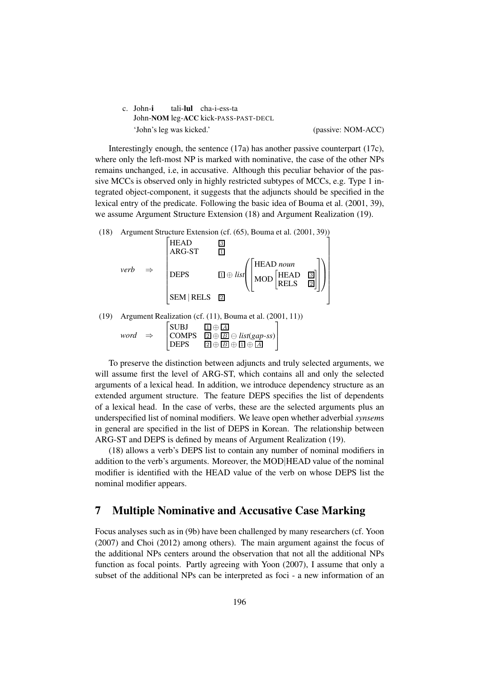| c. John-i                | tali- <b>lul</b> cha-i-ess-ta        |
|--------------------------|--------------------------------------|
|                          | John-NOM leg-ACC kick-PASS-PAST-DECL |
| 'John's leg was kicked.' |                                      |

Interestingly enough, the sentence (17a) has another passive counterpart (17c), where only the left-most NP is marked with nominative, the case of the other NPs remains unchanged, i.e, in accusative. Although this peculiar behavior of the passive MCCs is observed only in highly restricted subtypes of MCCs, e.g. Type 1 integrated object-component, it suggests that the adjuncts should be specified in the lexical entry of the predicate. Following the basic idea of Bouma et al. (2001, 39), we assume Argument Structure Extension (18) and Argument Realization (19).



(19) Argument Realization (cf. (11), Bouma et al. (2001, 11))  
\n*word* 
$$
\Rightarrow
$$
 
$$
\begin{bmatrix} \text{SUBJ} & \boxed{\Box \oplus \boxed{A}} \\ \text{COMPS} & \boxed{\Box \oplus \boxed{B}} \ominus \text{list(gap-ss)} \\ \text{DEPS} & \boxed{\Box \oplus \boxed{B}} \oplus \boxed{\Box \oplus \Box \oplus \boxed{A}} \end{bmatrix}
$$

 $\overline{D}$   $\overline{D}$   $\overline{D}$   $\overline{D}$   $\overline{D}$   $\overline{D}$   $\overline{D}$   $\overline{D}$   $\overline{D}$   $\overline{D}$   $\overline{D}$   $\overline{D}$   $\overline{D}$   $\overline{D}$   $\overline{D}$   $\overline{D}$   $\overline{D}$   $\overline{D}$   $\overline{D}$   $\overline{D}$   $\overline{D}$   $\overline{D}$   $\overline{D}$   $\overline{D}$   $\overline{$ 

To preserve the distinction between adjuncts and truly selected arguments, we will assume first the level of ARG-ST, which contains all and only the selected arguments of a lexical head. In addition, we introduce dependency structure as an extended argument structure. The feature DEPS specifies the list of dependents of a lexical head. In the case of verbs, these are the selected arguments plus an underspecified list of nominal modifiers. We leave open whether adverbial *synsem*s in general are specified in the list of DEPS in Korean. The relationship between ARG-ST and DEPS is defined by means of Argument Realization (19).

 $\overline{\phantom{a}}$ 

(18) allows a verb's DEPS list to contain any number of nominal modifiers in addition to the verb's arguments. Moreover, the MOD|HEAD value of the nominal modifier is identified with the HEAD value of the verb on whose DEPS list the nominal modifier appears.

# 7 Multiple Nominative and Accusative Case Marking

Focus analyses such as in (9b) have been challenged by many researchers (cf. Yoon (2007) and Choi (2012) among others). The main argument against the focus of the additional NPs centers around the observation that not all the additional NPs function as focal points. Partly agreeing with Yoon (2007), I assume that only a subset of the additional NPs can be interpreted as foci - a new information of an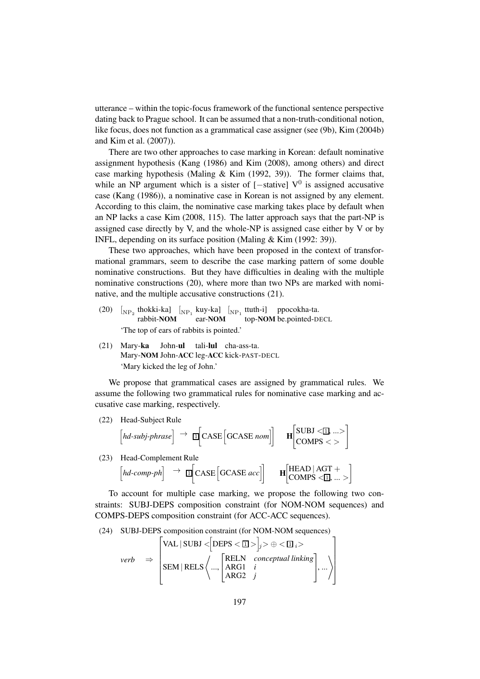utterance – within the topic-focus framework of the functional sentence perspective dating back to Prague school. It can be assumed that a non-truth-conditional notion, like focus, does not function as a grammatical case assigner (see (9b), Kim (2004b) and Kim et al. (2007)).

There are two other approaches to case marking in Korean: default nominative assignment hypothesis (Kang (1986) and Kim (2008), among others) and direct case marking hypothesis (Maling & Kim  $(1992, 39)$ ). The former claims that, while an NP argument which is a sister of  $[-stative]$  V<sup>0</sup> is assigned accusative case (Kang (1986)), a nominative case in Korean is not assigned by any element. According to this claim, the nominative case marking takes place by default when an NP lacks a case Kim (2008, 115). The latter approach says that the part-NP is assigned case directly by V, and the whole-NP is assigned case either by V or by INFL, depending on its surface position (Maling & Kim (1992: 39)).

These two approaches, which have been proposed in the context of transformational grammars, seem to describe the case marking pattern of some double nominative constructions. But they have difficulties in dealing with the multiple nominative constructions (20), where more than two NPs are marked with nominative, and the multiple accusative constructions (21).

- (20)  $\left[_{\text{NP}_2} \text{thokki-ka} \right]$ rabbit-NOM  $\begin{bmatrix} N_{\text{P}_1} & \text{kuy-ka} \end{bmatrix}$ ear-NOM [NP<sup>1</sup> ttuth-i] top-NOM ppocokha-ta. be.pointed-DECL 'The top of ears of rabbits is pointed.'
- (21) Mary-ka Mary-NOM John-ACC leg-ACC kick-PAST-DECL John-ul tali-lul cha-ass-ta. 'Mary kicked the leg of John.'

We propose that grammatical cases are assigned by grammatical rules. We assume the following two grammatical rules for nominative case marking and accusative case marking, respectively.

(22) Head-Subject Rule

$$
\begin{bmatrix} hd\text{-}subj\text{-}phrase \end{bmatrix} \rightarrow \text{I} \left[ \text{CASE} \begin{bmatrix} GCASE\text{ }nom \end{bmatrix} \right] \quad \text{H} \begin{bmatrix} SUBJ < \boxed{11}, \dots > \\ COMPS < \gt; \end{bmatrix}
$$

(23) Head-Complement Rule

$$
\begin{bmatrix} hd\text{-}comp\text{-}ph \end{bmatrix} \rightarrow \Box \begin{bmatrix} CASE \begin{bmatrix} GCASE \ acc \end{bmatrix} & \mathbf{H} \begin{bmatrix} HEAD \mid AGT + \\ COMPS < \Box, \dots \end{bmatrix}
$$

To account for multiple case marking, we propose the following two constraints: SUBJ-DEPS composition constraint (for NOM-NOM sequences) and COMPS-DEPS composition constraint (for ACC-ACC sequences).

(24) SUBJ-DEPS composition constraint (for NOM-NOM sequences)

$$
verb \Rightarrow \begin{bmatrix} \text{VAL} | \text{SUBJ} < [\text{DEPS} < \square >]_j > \oplus < \square & i > \\ \text{SEM} | \text{RELS} & \dots & \begin{bmatrix} \text{RELN} & conceptual linking} \\ \text{ARG1} & i \\ \text{ARG2} & j \end{bmatrix}, \dots \end{bmatrix}
$$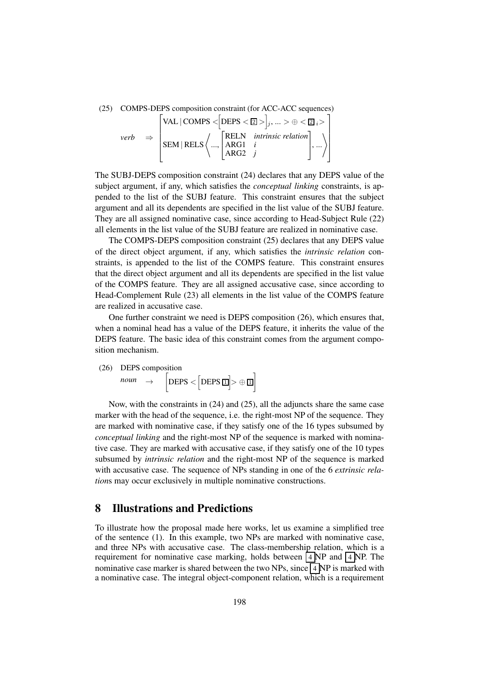(25) COMPS-DEPS composition constraint (for ACC-ACC sequences)

\n
$$
\text{verb} \quad \Rightarrow \quad\n \begin{bmatrix}\n \text{VAL} \mid \text{COMPS} < \left[ \text{DEPS} < \boxed{2} > \right]_j, \ldots > \oplus < \boxed{2} \, i > \\
\text{SEM} \mid \text{RELS} \left\langle \ldots, \left[ \begin{array}{cc} \text{RELN} & intrinsic \, relation \\ \text{ARG1} & i \\ \text{ARG2} & j \end{array} \right], \ldots \right\rangle\n \end{bmatrix}
$$
\n

The SUBJ-DEPS composition constraint (24) declares that any DEPS value of the subject argument, if any, which satisfies the *conceptual linking* constraints, is appended to the list of the SUBJ feature. This constraint ensures that the subject argument and all its dependents are specified in the list value of the SUBJ feature. They are all assigned nominative case, since according to Head-Subject Rule (22) all elements in the list value of the SUBJ feature are realized in nominative case.

The COMPS-DEPS composition constraint (25) declares that any DEPS value of the direct object argument, if any, which satisfies the *intrinsic relation* constraints, is appended to the list of the COMPS feature. This constraint ensures that the direct object argument and all its dependents are specified in the list value of the COMPS feature. They are all assigned accusative case, since according to Head-Complement Rule (23) all elements in the list value of the COMPS feature are realized in accusative case.

One further constraint we need is DEPS composition (26), which ensures that, when a nominal head has a value of the DEPS feature, it inherits the value of the DEPS feature. The basic idea of this constraint comes from the argument composition mechanism.

(26) DEPS composition  
\n
$$
noun \rightarrow \left[DEPS < \left[DEPS \ \boxed{\Box} \right] > \oplus \boxed{\Box} \right]
$$

Now, with the constraints in (24) and (25), all the adjuncts share the same case marker with the head of the sequence, i.e. the right-most NP of the sequence. They are marked with nominative case, if they satisfy one of the 16 types subsumed by *conceptual linking* and the right-most NP of the sequence is marked with nominative case. They are marked with accusative case, if they satisfy one of the 10 types subsumed by *intrinsic relation* and the right-most NP of the sequence is marked with accusative case. The sequence of NPs standing in one of the 6 *extrinsic relation*s may occur exclusively in multiple nominative constructions.

# 8 Illustrations and Predictions

To illustrate how the proposal made here works, let us examine a simplified tree of the sentence (1). In this example, two NPs are marked with nominative case, and three NPs with accusative case. The class-membership relation, which is a requirement for nominative case marking, holds between  $\boxed{4}$  NP and  $\boxed{4}$  NP. The nominative case marker is shared between the two NPs, since  $\sqrt{4}$  NP is marked with a nominative case. The integral object-component relation, which is a requirement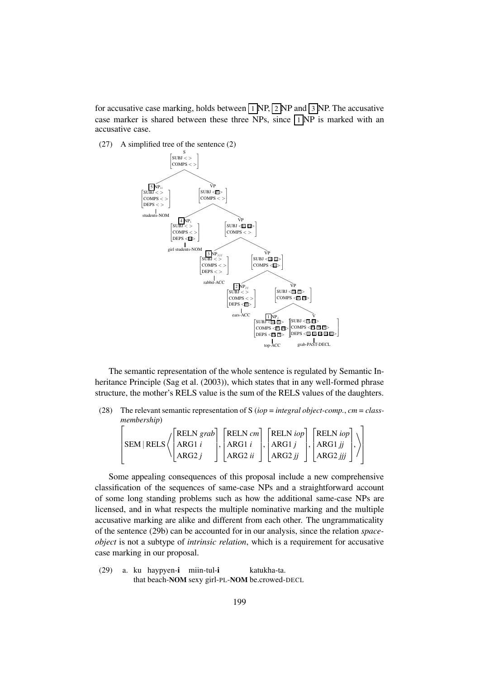for accusative case marking, holds between  $\boxed{1}$  NP,  $\boxed{2}$  NP and  $\boxed{3}$  NP. The accusative case marker is shared between these three NPs, since  $\sqrt{1}$  NP is marked with an accusative case.

(27) A simplified tree of the sentence (2)



The semantic representation of the whole sentence is regulated by Semantic Inheritance Principle (Sag et al. (2003)), which states that in any well-formed phrase structure, the mother's RELS value is the sum of the RELS values of the daughters.

(28) The relevant semantic representation of S (*iop* = *integral object-comp.*, *cm* = *classmembership*)

|  |  | $\left[\text{SEM}   \text{RELS}\left\langle\begin{bmatrix}\text{RELN} \text{ grad}\\ \text{ARG1 } i \\ \text{ARG2 } j\end{bmatrix}\right],\begin{bmatrix}\text{RELN } cm\\ \text{ARG1 } i \\ \text{ARG2 } ii\end{bmatrix},\begin{bmatrix}\text{RELN } iop\\ \text{ARG1 } j \\ \text{ARG2 } ji\end{bmatrix},\begin{bmatrix}\text{RELN } iop\\ \text{ARG1 } j \\ \text{ARG2 } jj\end{bmatrix},\begin{bmatrix}\text{RELN } iop\\ \text{ARG2 } jji\end{bmatrix}\right]\right)$ |
|--|--|----------------------------------------------------------------------------------------------------------------------------------------------------------------------------------------------------------------------------------------------------------------------------------------------------------------------------------------------------------------------------------------------------------------------------------------------------------------------------|
|  |  |                                                                                                                                                                                                                                                                                                                                                                                                                                                                            |
|  |  |                                                                                                                                                                                                                                                                                                                                                                                                                                                                            |

Some appealing consequences of this proposal include a new comprehensive classification of the sequences of same-case NPs and a straightforward account of some long standing problems such as how the additional same-case NPs are licensed, and in what respects the multiple nominative marking and the multiple accusative marking are alike and different from each other. The ungrammaticality of the sentence (29b) can be accounted for in our analysis, since the relation *spaceobject* is not a subtype of *intrinsic relation*, which is a requirement for accusative case marking in our proposal.

(29) a. ku haypyen-i miin-tul-i that beach-NOM sexy girl-PL-NOM be.crowed-DECL katukha-ta.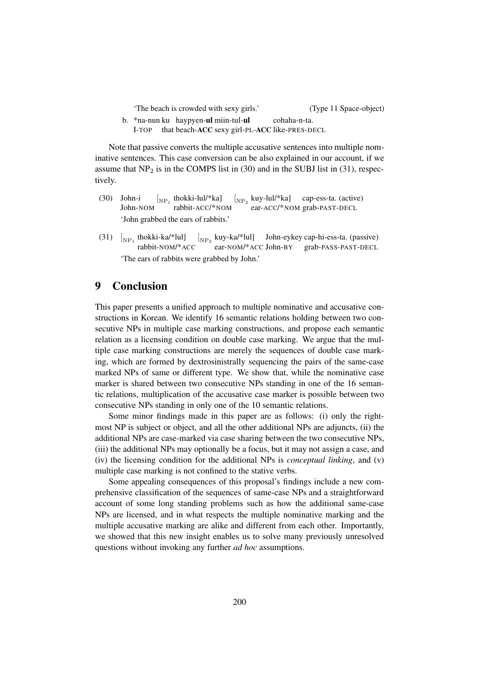'The beach is crowded with sexy girls.' (Type 11 Space-object) b. \*na-nun ku haypyen-**ul** miin-tul-**ul** cohaha-n-ta.

I-TOP that beach-ACC sexy girl-PL-ACC like-PRES-DECL

Note that passive converts the multiple accusative sentences into multiple nominative sentences. This case conversion can be also explained in our account, if we assume that  $NP<sub>2</sub>$  is in the COMPS list in (30) and in the SUBJ list in (31), respectively.

- (30) John-i John-NOM  $\begin{bmatrix} N_{\text{P}_1} \end{bmatrix}$  thokki-lul/\*ka] rabbit-ACC/\*NOM  $\begin{bmatrix} N_{\text{P}_2} \\ \end{bmatrix}$  kuy-lul/\*ka] ear-ACC/\*NOM cap-ess-ta. (active) grab-PAST-DECL 'John grabbed the ears of rabbits.'
- (31)  $\left[_{NP_1}$  thokki-ka/\*lul] rabbit-NOM/\*ACC  $\begin{bmatrix} N_{P_2} \\ N_{P_2} \end{bmatrix}$  kuy-ka/\*lul] John-eykey cap-hi-ess-ta. (passive) ear-NOM/\*ACC John-BY grab-PASS-PAST-DECL 'The ears of rabbits were grabbed by John.'

## 9 Conclusion

This paper presents a unified approach to multiple nominative and accusative constructions in Korean. We identify 16 semantic relations holding between two consecutive NPs in multiple case marking constructions, and propose each semantic relation as a licensing condition on double case marking. We argue that the multiple case marking constructions are merely the sequences of double case marking, which are formed by dextrosinistrally sequencing the pairs of the same-case marked NPs of same or different type. We show that, while the nominative case marker is shared between two consecutive NPs standing in one of the 16 semantic relations, multiplication of the accusative case marker is possible between two consecutive NPs standing in only one of the 10 semantic relations.

Some minor findings made in this paper are as follows: (i) only the rightmost NP is subject or object, and all the other additional NPs are adjuncts, (ii) the additional NPs are case-marked via case sharing between the two consecutive NPs, (iii) the additional NPs may optionally be a focus, but it may not assign a case, and (iv) the licensing condition for the additional NPs is *conceptual linking*, and (v) multiple case marking is not confined to the stative verbs.

Some appealing consequences of this proposal's findings include a new comprehensive classification of the sequences of same-case NPs and a straightforward account of some long standing problems such as how the additional same-case NPs are licensed, and in what respects the multiple nominative marking and the multiple accusative marking are alike and different from each other. Importantly, we showed that this new insight enables us to solve many previously unresolved questions without invoking any further *ad hoc* assumptions.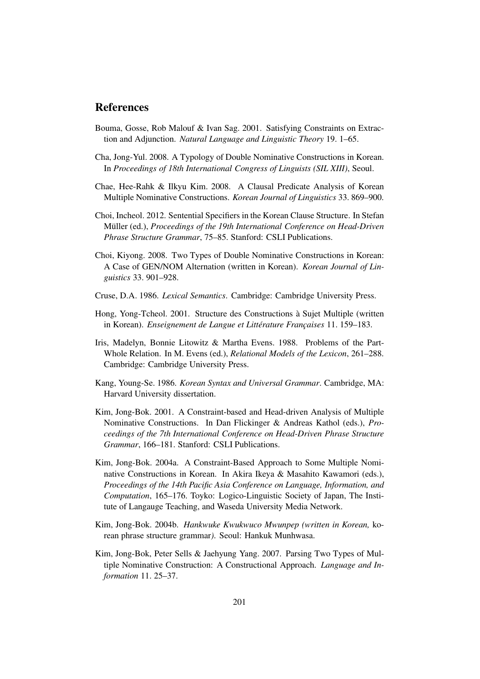## References

- Bouma, Gosse, Rob Malouf & Ivan Sag. 2001. Satisfying Constraints on Extraction and Adjunction. *Natural Language and Linguistic Theory* 19. 1–65.
- Cha, Jong-Yul. 2008. A Typology of Double Nominative Constructions in Korean. In *Proceedings of 18th International Congress of Linguists (SIL XIII)*, Seoul.
- Chae, Hee-Rahk & Ilkyu Kim. 2008. A Clausal Predicate Analysis of Korean Multiple Nominative Constructions. *Korean Journal of Linguistics* 33. 869–900.
- Choi, Incheol. 2012. Sentential Specifiers in the Korean Clause Structure. In Stefan Müller (ed.), *Proceedings of the 19th International Conference on Head-Driven Phrase Structure Grammar*, 75–85. Stanford: CSLI Publications.
- Choi, Kiyong. 2008. Two Types of Double Nominative Constructions in Korean: A Case of GEN/NOM Alternation (written in Korean). *Korean Journal of Linguistics* 33. 901–928.
- Cruse, D.A. 1986. *Lexical Semantics*. Cambridge: Cambridge University Press.
- Hong, Yong-Tcheol. 2001. Structure des Constructions à Sujet Multiple (written in Korean). *Enseignement de Langue et Littérature Françaises* 11. 159–183.
- Iris, Madelyn, Bonnie Litowitz & Martha Evens. 1988. Problems of the Part-Whole Relation. In M. Evens (ed.), *Relational Models of the Lexicon*, 261–288. Cambridge: Cambridge University Press.
- Kang, Young-Se. 1986. *Korean Syntax and Universal Grammar*. Cambridge, MA: Harvard University dissertation.
- Kim, Jong-Bok. 2001. A Constraint-based and Head-driven Analysis of Multiple Nominative Constructions. In Dan Flickinger & Andreas Kathol (eds.), *Proceedings of the 7th International Conference on Head-Driven Phrase Structure Grammar*, 166–181. Stanford: CSLI Publications.
- Kim, Jong-Bok. 2004a. A Constraint-Based Approach to Some Multiple Nominative Constructions in Korean. In Akira Ikeya & Masahito Kawamori (eds.), *Proceedings of the 14th Pacific Asia Conference on Language, Information, and Computation*, 165–176. Toyko: Logico-Linguistic Society of Japan, The Institute of Langauge Teaching, and Waseda University Media Network.
- Kim, Jong-Bok. 2004b. *Hankwuke Kwukwuco Mwunpep (written in Korean,* korean phrase structure grammar*)*. Seoul: Hankuk Munhwasa.
- Kim, Jong-Bok, Peter Sells & Jaehyung Yang. 2007. Parsing Two Types of Multiple Nominative Construction: A Constructional Approach. *Language and Information* 11. 25–37.